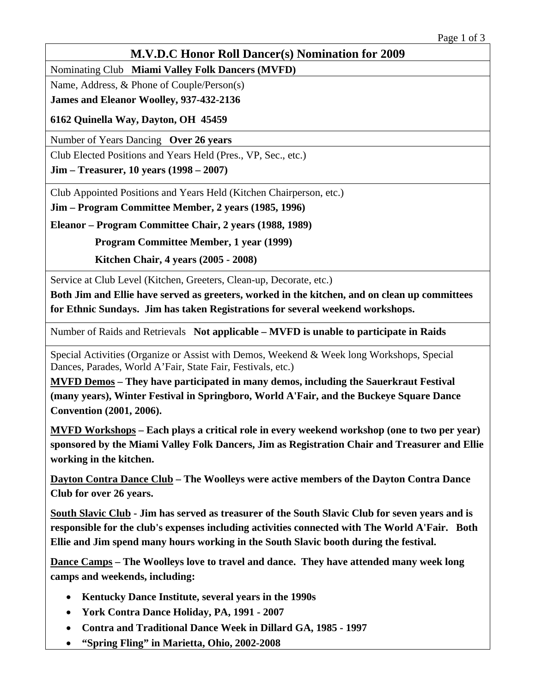## **M.V.D.C Honor Roll Dancer(s) Nomination for 2009**

Nominating Club **Miami Valley Folk Dancers (MVFD)**

Name, Address, & Phone of Couple/Person(s)

**James and Eleanor Woolley, 937-432-2136** 

**6162 Quinella Way, Dayton, OH 45459** 

Number of Years Dancing **Over 26 years**

Club Elected Positions and Years Held (Pres., VP, Sec., etc.)

**Jim – Treasurer, 10 years (1998 – 2007)** 

Club Appointed Positions and Years Held (Kitchen Chairperson, etc.)

**Jim – Program Committee Member, 2 years (1985, 1996)** 

**Eleanor – Program Committee Chair, 2 years (1988, 1989)** 

 **Program Committee Member, 1 year (1999)** 

 **Kitchen Chair, 4 years (2005 - 2008)**

Service at Club Level (Kitchen, Greeters, Clean-up, Decorate, etc.)

**Both Jim and Ellie have served as greeters, worked in the kitchen, and on clean up committees for Ethnic Sundays. Jim has taken Registrations for several weekend workshops.**

Number of Raids and Retrievals **Not applicable – MVFD is unable to participate in Raids**

Special Activities (Organize or Assist with Demos, Weekend & Week long Workshops, Special Dances, Parades, World A'Fair, State Fair, Festivals, etc.)

**MVFD Demos – They have participated in many demos, including the Sauerkraut Festival (many years), Winter Festival in Springboro, World A'Fair, and the Buckeye Square Dance Convention (2001, 2006).** 

**MVFD Workshops – Each plays a critical role in every weekend workshop (one to two per year) sponsored by the Miami Valley Folk Dancers, Jim as Registration Chair and Treasurer and Ellie working in the kitchen.** 

**Dayton Contra Dance Club – The Woolleys were active members of the Dayton Contra Dance Club for over 26 years.** 

**South Slavic Club - Jim has served as treasurer of the South Slavic Club for seven years and is responsible for the club's expenses including activities connected with The World A'Fair. Both Ellie and Jim spend many hours working in the South Slavic booth during the festival.** 

**Dance Camps – The Woolleys love to travel and dance. They have attended many week long camps and weekends, including:** 

- **Kentucky Dance Institute, several years in the 1990s**
- **York Contra Dance Holiday, PA, 1991 2007**
- **Contra and Traditional Dance Week in Dillard GA, 1985 1997**
- **"Spring Fling" in Marietta, Ohio, 2002-2008**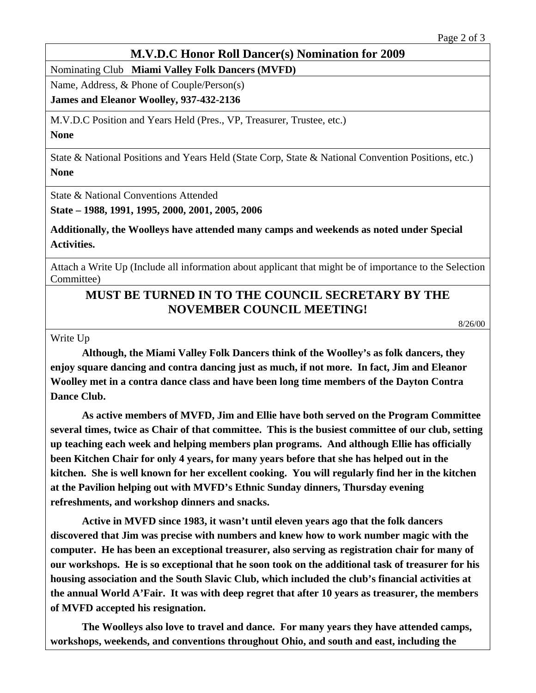## **M.V.D.C Honor Roll Dancer(s) Nomination for 2009**

Nominating Club **Miami Valley Folk Dancers (MVFD)**

Name, Address, & Phone of Couple/Person(s)

**James and Eleanor Woolley, 937-432-2136** 

M.V.D.C Position and Years Held (Pres., VP, Treasurer, Trustee, etc.)

**None**

State & National Positions and Years Held (State Corp, State & National Convention Positions, etc.) **None**

State & National Conventions Attended

**State – 1988, 1991, 1995, 2000, 2001, 2005, 2006** 

**Additionally, the Woolleys have attended many camps and weekends as noted under Special Activities.**

Attach a Write Up (Include all information about applicant that might be of importance to the Selection Committee)

## **MUST BE TURNED IN TO THE COUNCIL SECRETARY BY THE NOVEMBER COUNCIL MEETING!**

8/26/00

Write Up

**Although, the Miami Valley Folk Dancers think of the Woolley's as folk dancers, they enjoy square dancing and contra dancing just as much, if not more. In fact, Jim and Eleanor Woolley met in a contra dance class and have been long time members of the Dayton Contra Dance Club.** 

**As active members of MVFD, Jim and Ellie have both served on the Program Committee several times, twice as Chair of that committee. This is the busiest committee of our club, setting up teaching each week and helping members plan programs. And although Ellie has officially been Kitchen Chair for only 4 years, for many years before that she has helped out in the kitchen. She is well known for her excellent cooking. You will regularly find her in the kitchen at the Pavilion helping out with MVFD's Ethnic Sunday dinners, Thursday evening refreshments, and workshop dinners and snacks.** 

**Active in MVFD since 1983, it wasn't until eleven years ago that the folk dancers discovered that Jim was precise with numbers and knew how to work number magic with the computer. He has been an exceptional treasurer, also serving as registration chair for many of our workshops. He is so exceptional that he soon took on the additional task of treasurer for his housing association and the South Slavic Club, which included the club's financial activities at the annual World A'Fair. It was with deep regret that after 10 years as treasurer, the members of MVFD accepted his resignation.** 

**The Woolleys also love to travel and dance. For many years they have attended camps, workshops, weekends, and conventions throughout Ohio, and south and east, including the**